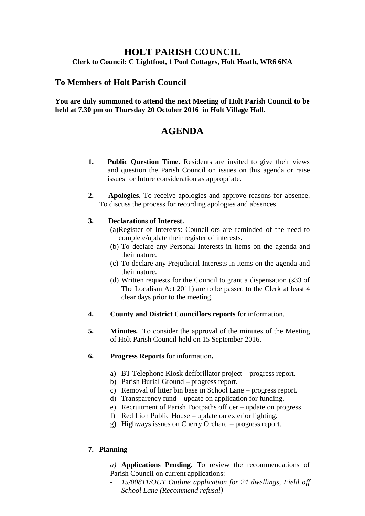## **HOLT PARISH COUNCIL Clerk to Council: C Lightfoot, 1 Pool Cottages, Holt Heath, WR6 6NA**

## **To Members of Holt Parish Council**

**You are duly summoned to attend the next Meeting of Holt Parish Council to be held at 7.30 pm on Thursday 20 October 2016 in Holt Village Hall.**

# **AGENDA**

- **1. Public Question Time.** Residents are invited to give their views and question the Parish Council on issues on this agenda or raise issues for future consideration as appropriate.
- **2. Apologies.** To receive apologies and approve reasons for absence. To discuss the process for recording apologies and absences.

## **3. Declarations of Interest.**

- (a)Register of Interests: Councillors are reminded of the need to complete/update their register of interests.
- (b) To declare any Personal Interests in items on the agenda and their nature.
- (c) To declare any Prejudicial Interests in items on the agenda and their nature.
- (d) Written requests for the Council to grant a dispensation (s33 of The Localism Act 2011) are to be passed to the Clerk at least 4 clear days prior to the meeting.
- **4. County and District Councillors reports** for information.
- **5. Minutes.** To consider the approval of the minutes of the Meeting of Holt Parish Council held on 15 September 2016.
- **6. Progress Reports** for information**.**
	- a) BT Telephone Kiosk defibrillator project progress report.
	- b) Parish Burial Ground progress report.
	- c) Removal of litter bin base in School Lane progress report.
	- d) Transparency fund update on application for funding.
	- e) Recruitment of Parish Footpaths officer update on progress.
	- f) Red Lion Public House update on exterior lighting.
	- g) Highways issues on Cherry Orchard progress report.

## **7. Planning**

- *a)* **Applications Pending.** To review the recommendations of Parish Council on current applications:-
- **-** *15/00811/OUT Outline application for 24 dwellings, Field off School Lane (Recommend refusal)*